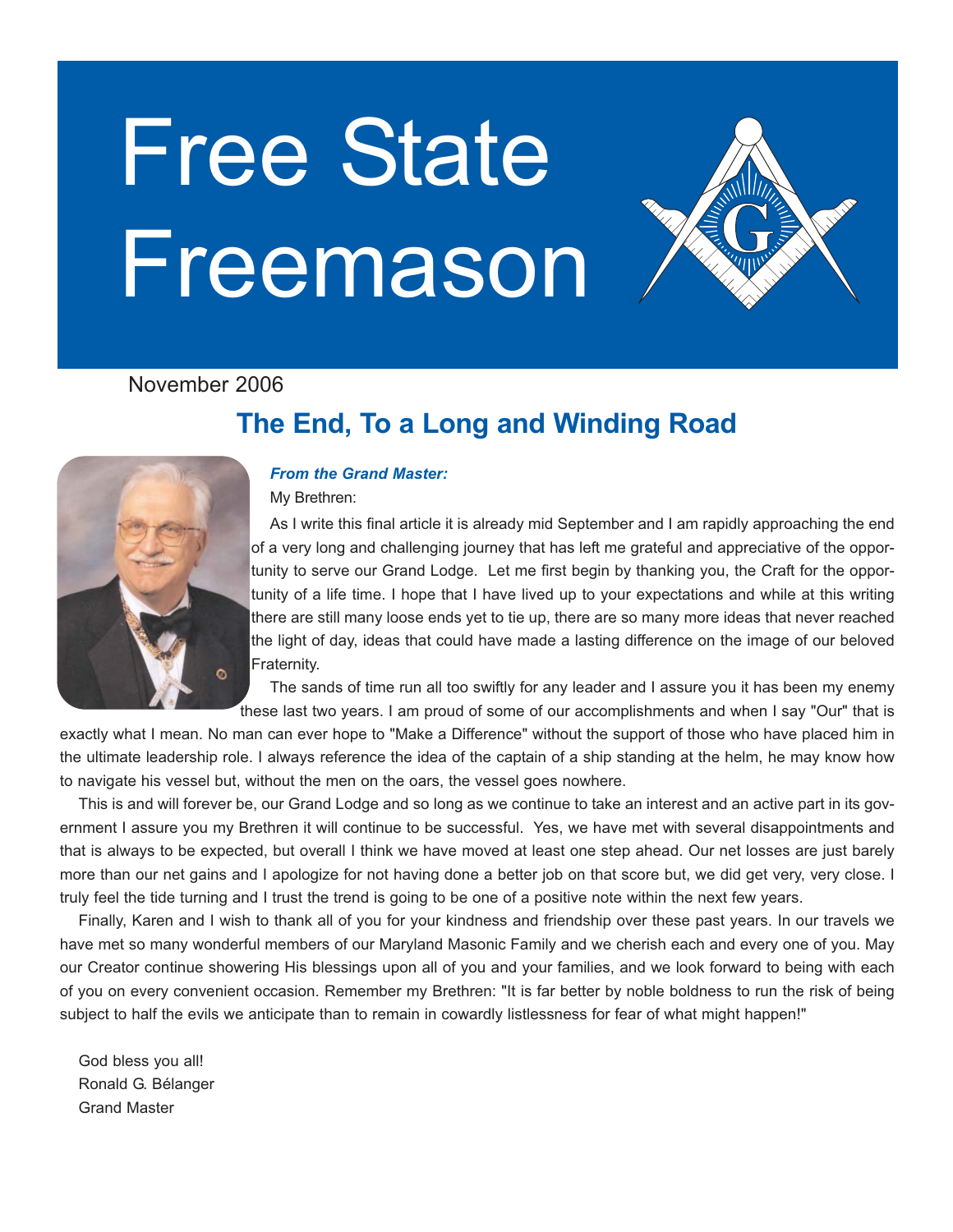

November 2006

# **The End, To a Long and Winding Road**



#### *From the Grand Master:*

My Brethren:

As I write this final article it is already mid September and I am rapidly approaching the end of a very long and challenging journey that has left me grateful and appreciative of the opportunity to serve our Grand Lodge. Let me first begin by thanking you, the Craft for the opportunity of a life time. I hope that I have lived up to your expectations and while at this writing there are still many loose ends yet to tie up, there are so many more ideas that never reached the light of day, ideas that could have made a lasting difference on the image of our beloved Fraternity.

The sands of time run all too swiftly for any leader and I assure you it has been my enemy these last two years. I am proud of some of our accomplishments and when I say "Our" that is

exactly what I mean. No man can ever hope to "Make a Difference" without the support of those who have placed him in the ultimate leadership role. I always reference the idea of the captain of a ship standing at the helm, he may know how to navigate his vessel but, without the men on the oars, the vessel goes nowhere.

This is and will forever be, our Grand Lodge and so long as we continue to take an interest and an active part in its government I assure you my Brethren it will continue to be successful. Yes, we have met with several disappointments and that is always to be expected, but overall I think we have moved at least one step ahead. Our net losses are just barely more than our net gains and I apologize for not having done a better job on that score but, we did get very, very close. I truly feel the tide turning and I trust the trend is going to be one of a positive note within the next few years.

Finally, Karen and I wish to thank all of you for your kindness and friendship over these past years. In our travels we have met so many wonderful members of our Maryland Masonic Family and we cherish each and every one of you. May our Creator continue showering His blessings upon all of you and your families, and we look forward to being with each of you on every convenient occasion. Remember my Brethren: "It is far better by noble boldness to run the risk of being subject to half the evils we anticipate than to remain in cowardly listlessness for fear of what might happen!"

God bless you all! Ronald G. Bélanger Grand Master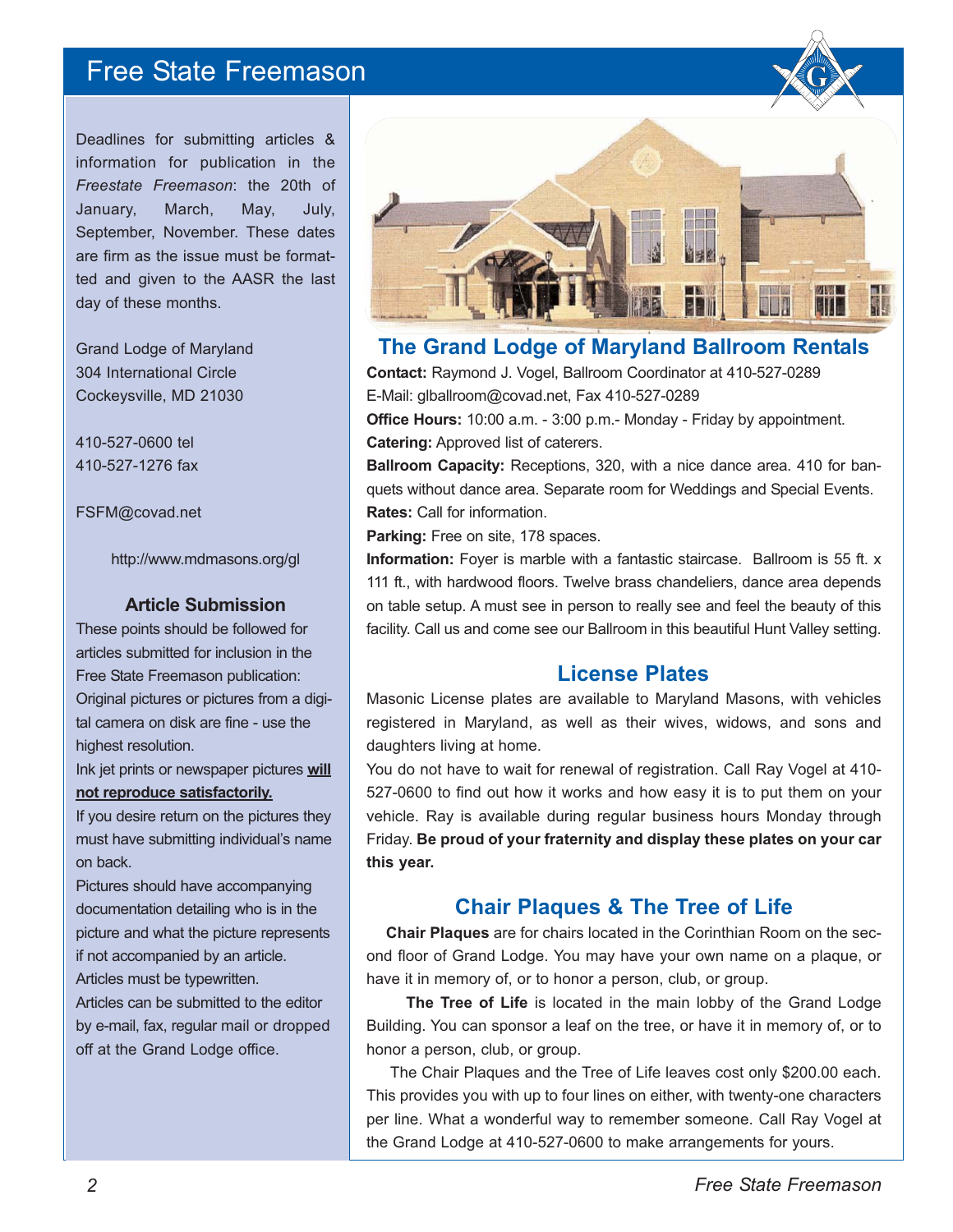Deadlines for submitting articles & information for publication in the *Freestate Freemason*: the 20th of January, March, May, July, September, November. These dates are firm as the issue must be formatted and given to the AASR the last day of these months.

Grand Lodge of Maryland 304 International Circle Cockeysville, MD 21030

410-527-0600 tel 410-527-1276 fax

FSFM@covad.net

http://www.mdmasons.org/gl

#### **Article Submission**

These points should be followed for articles submitted for inclusion in the Free State Freemason publication: Original pictures or pictures from a digital camera on disk are fine - use the highest resolution.

Ink jet prints or newspaper pictures **will not reproduce satisfactorily.**

If you desire return on the pictures they must have submitting individual's name on back.

Pictures should have accompanying documentation detailing who is in the picture and what the picture represents if not accompanied by an article. Articles must be typewritten.

Articles can be submitted to the editor by e-mail, fax, regular mail or dropped off at the Grand Lodge office.



**The Grand Lodge of Maryland Ballroom Rentals**

**Contact:** Raymond J. Vogel, Ballroom Coordinator at 410-527-0289 E-Mail: glballroom@covad.net, Fax 410-527-0289

**Office Hours:** 10:00 a.m. - 3:00 p.m.- Monday - Friday by appointment. **Catering:** Approved list of caterers.

**Ballroom Capacity:** Receptions, 320, with a nice dance area. 410 for banquets without dance area. Separate room for Weddings and Special Events. **Rates:** Call for information.

**Parking:** Free on site, 178 spaces.

**Information:** Foyer is marble with a fantastic staircase. Ballroom is 55 ft. x 111 ft., with hardwood floors. Twelve brass chandeliers, dance area depends on table setup. A must see in person to really see and feel the beauty of this facility. Call us and come see our Ballroom in this beautiful Hunt Valley setting.

#### **License Plates**

Masonic License plates are available to Maryland Masons, with vehicles registered in Maryland, as well as their wives, widows, and sons and daughters living at home.

You do not have to wait for renewal of registration. Call Ray Vogel at 410- 527-0600 to find out how it works and how easy it is to put them on your vehicle. Ray is available during regular business hours Monday through Friday. **Be proud of your fraternity and display these plates on your car this year.**

## **Chair Plaques & The Tree of Life**

**Chair Plaques** are for chairs located in the Corinthian Room on the second floor of Grand Lodge. You may have your own name on a plaque, or have it in memory of, or to honor a person, club, or group.

**The Tree of Life** is located in the main lobby of the Grand Lodge Building. You can sponsor a leaf on the tree, or have it in memory of, or to honor a person, club, or group.

The Chair Plaques and the Tree of Life leaves cost only \$200.00 each. This provides you with up to four lines on either, with twenty-one characters per line. What a wonderful way to remember someone. Call Ray Vogel at the Grand Lodge at 410-527-0600 to make arrangements for yours.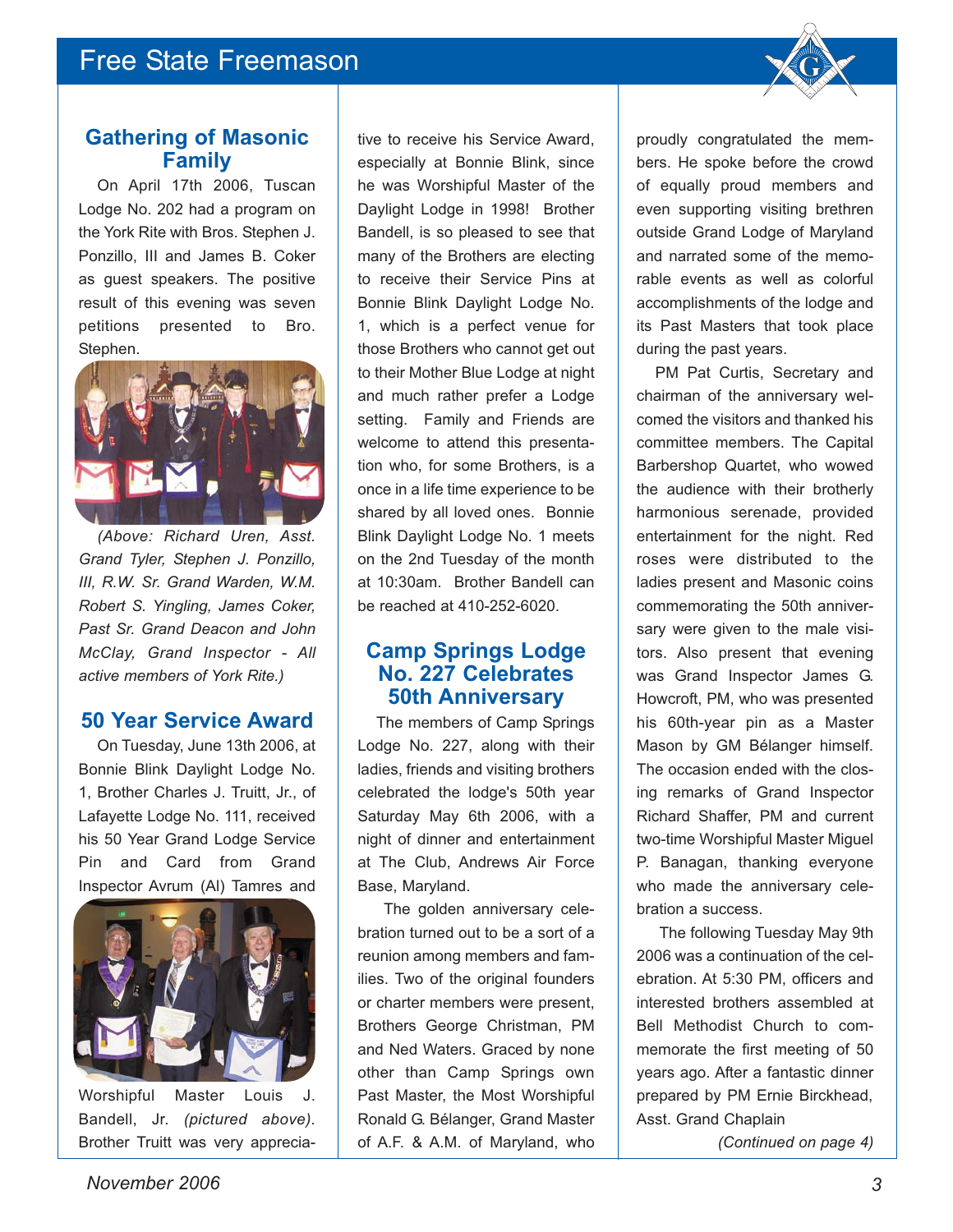

#### **Gathering of Masonic Family**

On April 17th 2006, Tuscan Lodge No. 202 had a program on the York Rite with Bros. Stephen J. Ponzillo, III and James B. Coker as guest speakers. The positive result of this evening was seven petitions presented to Bro. Stephen.



*(Above: Richard Uren, Asst. Grand Tyler, Stephen J. Ponzillo, III, R.W. Sr. Grand Warden, W.M. Robert S. Yingling, James Coker, Past Sr. Grand Deacon and John McClay, Grand Inspector - All active members of York Rite.)*

#### **50 Year Service Award**

On Tuesday, June 13th 2006, at Bonnie Blink Daylight Lodge No. 1, Brother Charles J. Truitt, Jr., of Lafayette Lodge No. 111, received his 50 Year Grand Lodge Service Pin and Card from Grand Inspector Avrum (Al) Tamres and



Worshipful Master Louis J. Bandell, Jr. *(pictured above).* Brother Truitt was very apprecia-

tive to receive his Service Award, especially at Bonnie Blink, since he was Worshipful Master of the Daylight Lodge in 1998! Brother Bandell, is so pleased to see that many of the Brothers are electing to receive their Service Pins at Bonnie Blink Daylight Lodge No. 1, which is a perfect venue for those Brothers who cannot get out to their Mother Blue Lodge at night and much rather prefer a Lodge setting. Family and Friends are welcome to attend this presentation who, for some Brothers, is a once in a life time experience to be shared by all loved ones. Bonnie Blink Daylight Lodge No. 1 meets on the 2nd Tuesday of the month at 10:30am. Brother Bandell can be reached at 410-252-6020.

#### **Camp Springs Lodge No. 227 Celebrates 50th Anniversary**

The members of Camp Springs Lodge No. 227, along with their ladies, friends and visiting brothers celebrated the lodge's 50th year Saturday May 6th 2006, with a night of dinner and entertainment at The Club, Andrews Air Force Base, Maryland.

The golden anniversary celebration turned out to be a sort of a reunion among members and families. Two of the original founders or charter members were present, Brothers George Christman, PM and Ned Waters. Graced by none other than Camp Springs own Past Master, the Most Worshipful Ronald G. Bélanger, Grand Master of A.F. & A.M. of Maryland, who

proudly congratulated the members. He spoke before the crowd of equally proud members and even supporting visiting brethren outside Grand Lodge of Maryland and narrated some of the memorable events as well as colorful accomplishments of the lodge and its Past Masters that took place during the past years.

PM Pat Curtis, Secretary and chairman of the anniversary welcomed the visitors and thanked his committee members. The Capital Barbershop Quartet, who wowed the audience with their brotherly harmonious serenade, provided entertainment for the night. Red roses were distributed to the ladies present and Masonic coins commemorating the 50th anniversary were given to the male visitors. Also present that evening was Grand Inspector James G. Howcroft, PM, who was presented his 60th-year pin as a Master Mason by GM Bélanger himself. The occasion ended with the closing remarks of Grand Inspector Richard Shaffer, PM and current two-time Worshipful Master Miguel P. Banagan, thanking everyone who made the anniversary celebration a success.

The following Tuesday May 9th 2006 was a continuation of the celebration. At 5:30 PM, officers and interested brothers assembled at Bell Methodist Church to commemorate the first meeting of 50 years ago. After a fantastic dinner prepared by PM Ernie Birckhead, Asst. Grand Chaplain

*(Continued on page 4)*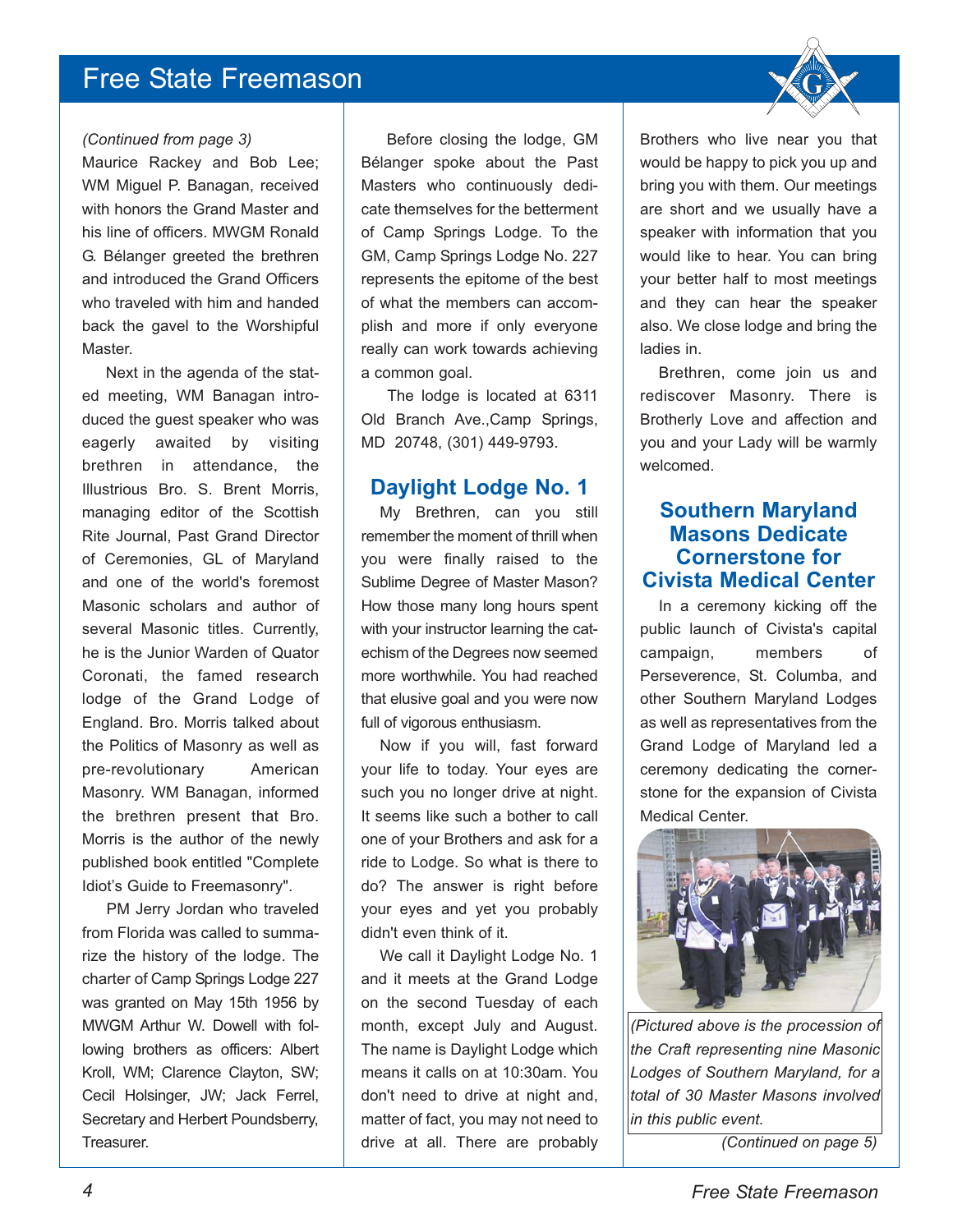

Maurice Rackey and Bob Lee; WM Miguel P. Banagan, received with honors the Grand Master and his line of officers. MWGM Ronald G. Bélanger greeted the brethren and introduced the Grand Officers who traveled with him and handed back the gavel to the Worshipful Master.

Next in the agenda of the stated meeting, WM Banagan introduced the guest speaker who was eagerly awaited by visiting brethren in attendance, the Illustrious Bro. S. Brent Morris, managing editor of the Scottish Rite Journal, Past Grand Director of Ceremonies, GL of Maryland and one of the world's foremost Masonic scholars and author of several Masonic titles. Currently, he is the Junior Warden of Quator Coronati, the famed research lodge of the Grand Lodge of England. Bro. Morris talked about the Politics of Masonry as well as pre-revolutionary American Masonry. WM Banagan, informed the brethren present that Bro. Morris is the author of the newly published book entitled "Complete Idiot's Guide to Freemasonry".

PM Jerry Jordan who traveled from Florida was called to summarize the history of the lodge. The charter of Camp Springs Lodge 227 was granted on May 15th 1956 by MWGM Arthur W. Dowell with following brothers as officers: Albert Kroll, WM; Clarence Clayton, SW; Cecil Holsinger, JW; Jack Ferrel, Secretary and Herbert Poundsberry, Treasurer.

Before closing the lodge, GM Bélanger spoke about the Past Masters who continuously dedicate themselves for the betterment of Camp Springs Lodge. To the GM, Camp Springs Lodge No. 227 represents the epitome of the best of what the members can accomplish and more if only everyone really can work towards achieving a common goal.

The lodge is located at 6311 Old Branch Ave.,Camp Springs, MD 20748, (301) 449-9793.

#### **Daylight Lodge No. 1**

My Brethren, can you still remember the moment of thrill when you were finally raised to the Sublime Degree of Master Mason? How those many long hours spent with your instructor learning the catechism of the Degrees now seemed more worthwhile. You had reached that elusive goal and you were now full of vigorous enthusiasm.

Now if you will, fast forward your life to today. Your eyes are such you no longer drive at night. It seems like such a bother to call one of your Brothers and ask for a ride to Lodge. So what is there to do? The answer is right before your eyes and yet you probably didn't even think of it.

We call it Daylight Lodge No. 1 and it meets at the Grand Lodge on the second Tuesday of each month, except July and August. The name is Daylight Lodge which means it calls on at 10:30am. You don't need to drive at night and, matter of fact, you may not need to drive at all. There are probably

Brothers who live near you that would be happy to pick you up and bring you with them. Our meetings are short and we usually have a speaker with information that you would like to hear. You can bring your better half to most meetings and they can hear the speaker also. We close lodge and bring the ladies in.

Brethren, come join us and rediscover Masonry. There is Brotherly Love and affection and you and your Lady will be warmly welcomed.

## **Southern Maryland Masons Dedicate Cornerstone for Civista Medical Center**

In a ceremony kicking off the public launch of Civista's capital campaign, members of Perseverence, St. Columba, and other Southern Maryland Lodges as well as representatives from the Grand Lodge of Maryland led a ceremony dedicating the cornerstone for the expansion of Civista Medical Center.



*(Pictured above is the procession of the Craft representing nine Masonic Lodges of Southern Maryland, for a total of 30 Master Masons involved in this public event.* 

*(Continued on page 5)*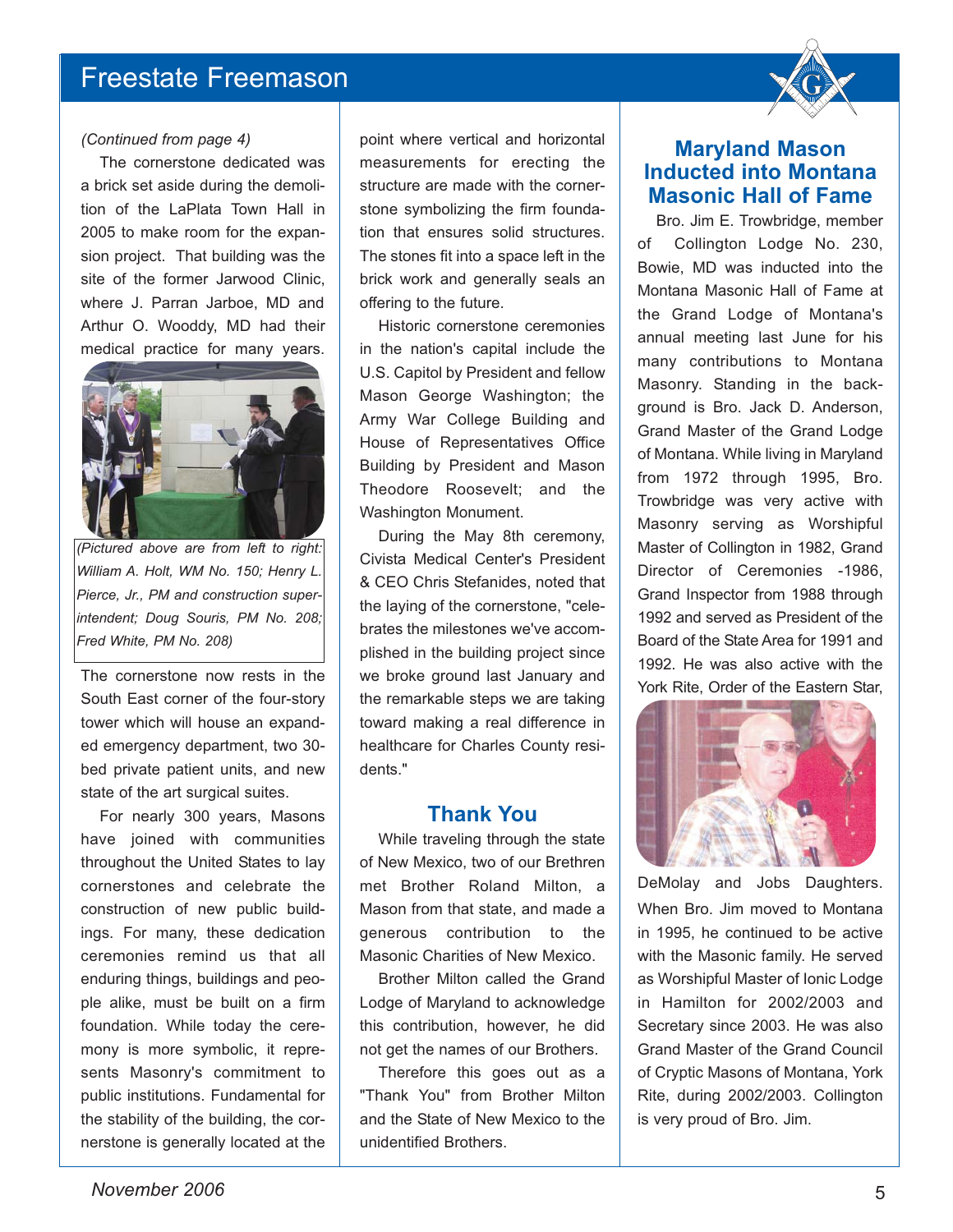#### *(Continued from page 4)*

The cornerstone dedicated was a brick set aside during the demolition of the LaPlata Town Hall in 2005 to make room for the expansion project. That building was the site of the former Jarwood Clinic, where J. Parran Jarboe, MD and Arthur O. Wooddy, MD had their medical practice for many years.



*(Pictured above are from left to right: William A. Holt, WM No. 150; Henry L. Pierce, Jr., PM and construction superintendent; Doug Souris, PM No. 208; Fred White, PM No. 208)*

The cornerstone now rests in the South East corner of the four-story tower which will house an expanded emergency department, two 30 bed private patient units, and new state of the art surgical suites.

For nearly 300 years, Masons have joined with communities throughout the United States to lay cornerstones and celebrate the construction of new public buildings. For many, these dedication ceremonies remind us that all enduring things, buildings and people alike, must be built on a firm foundation. While today the ceremony is more symbolic, it represents Masonry's commitment to public institutions. Fundamental for the stability of the building, the cornerstone is generally located at the

point where vertical and horizontal measurements for erecting the structure are made with the cornerstone symbolizing the firm foundation that ensures solid structures. The stones fit into a space left in the brick work and generally seals an offering to the future.

Historic cornerstone ceremonies in the nation's capital include the U.S. Capitol by President and fellow Mason George Washington; the Army War College Building and House of Representatives Office Building by President and Mason Theodore Roosevelt; and the Washington Monument.

During the May 8th ceremony, Civista Medical Center's President & CEO Chris Stefanides, noted that the laying of the cornerstone, "celebrates the milestones we've accomplished in the building project since we broke ground last January and the remarkable steps we are taking toward making a real difference in healthcare for Charles County residents."

### **Thank You**

While traveling through the state of New Mexico, two of our Brethren met Brother Roland Milton, a Mason from that state, and made a generous contribution to the Masonic Charities of New Mexico.

Brother Milton called the Grand Lodge of Maryland to acknowledge this contribution, however, he did not get the names of our Brothers.

Therefore this goes out as a "Thank You" from Brother Milton and the State of New Mexico to the unidentified Brothers.

## **Maryland Mason Inducted into Montana Masonic Hall of Fame**

Bro. Jim E. Trowbridge, member of Collington Lodge No. 230, Bowie, MD was inducted into the Montana Masonic Hall of Fame at the Grand Lodge of Montana's annual meeting last June for his many contributions to Montana Masonry. Standing in the background is Bro. Jack D. Anderson, Grand Master of the Grand Lodge of Montana. While living in Maryland from 1972 through 1995, Bro. Trowbridge was very active with Masonry serving as Worshipful Master of Collington in 1982, Grand Director of Ceremonies -1986, Grand Inspector from 1988 through 1992 and served as President of the Board of the State Area for 1991 and 1992. He was also active with the York Rite, Order of the Eastern Star,



DeMolay and Jobs Daughters. When Bro. Jim moved to Montana in 1995, he continued to be active with the Masonic family. He served as Worshipful Master of Ionic Lodge in Hamilton for 2002/2003 and Secretary since 2003. He was also Grand Master of the Grand Council of Cryptic Masons of Montana, York Rite, during 2002/2003. Collington is very proud of Bro. Jim.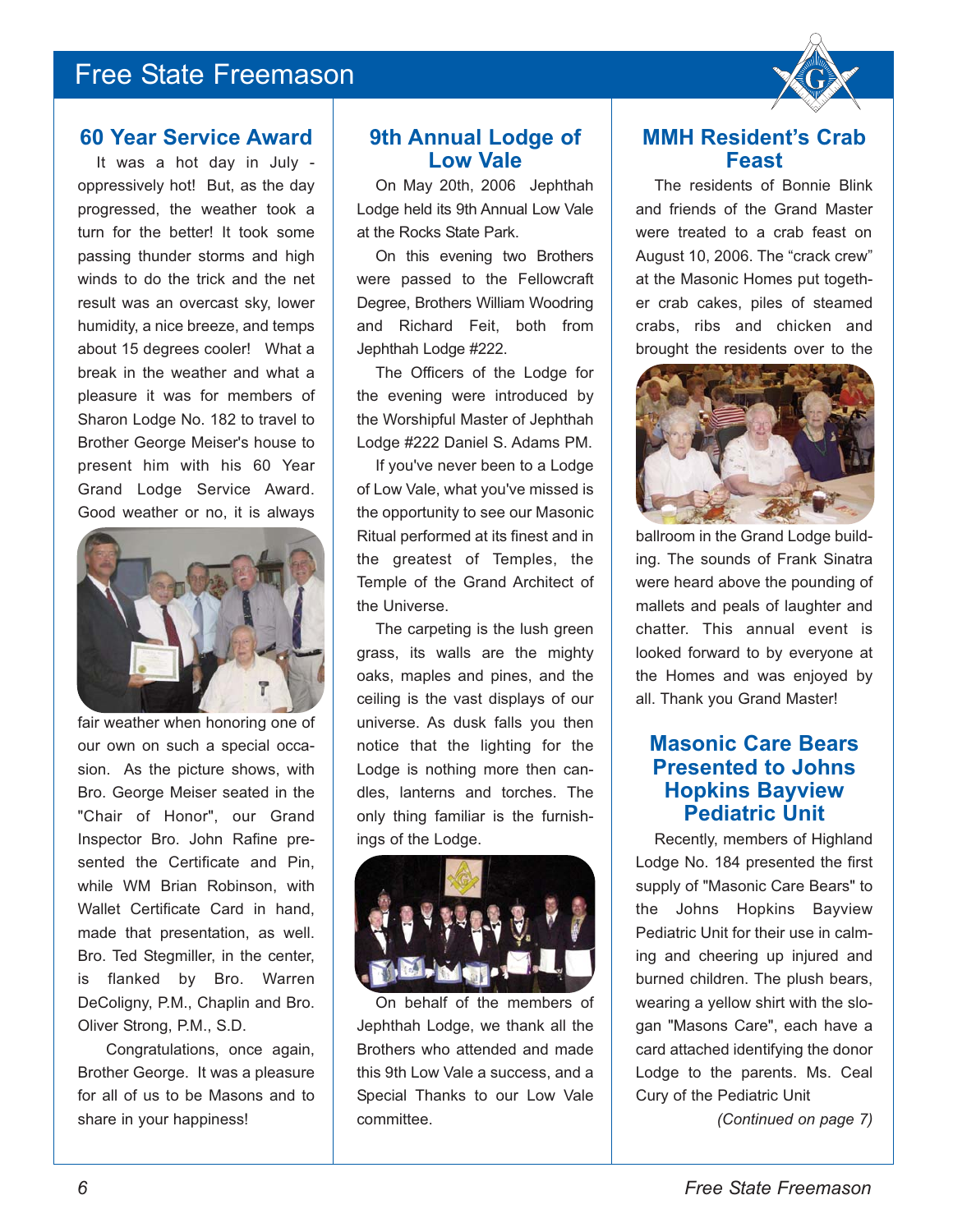

#### **60 Year Service Award**

It was a hot day in July oppressively hot! But, as the day progressed, the weather took a turn for the better! It took some passing thunder storms and high winds to do the trick and the net result was an overcast sky, lower humidity, a nice breeze, and temps about 15 degrees cooler! What a break in the weather and what a pleasure it was for members of Sharon Lodge No. 182 to travel to Brother George Meiser's house to present him with his 60 Year Grand Lodge Service Award. Good weather or no, it is always



fair weather when honoring one of our own on such a special occasion. As the picture shows, with Bro. George Meiser seated in the "Chair of Honor", our Grand Inspector Bro. John Rafine presented the Certificate and Pin, while WM Brian Robinson, with Wallet Certificate Card in hand, made that presentation, as well. Bro. Ted Stegmiller, in the center, is flanked by Bro. Warren DeColigny, P.M., Chaplin and Bro. Oliver Strong, P.M., S.D.

Congratulations, once again, Brother George. It was a pleasure for all of us to be Masons and to share in your happiness!

#### **9th Annual Lodge of Low Vale**

On May 20th, 2006 Jephthah Lodge held its 9th Annual Low Vale at the Rocks State Park.

On this evening two Brothers were passed to the Fellowcraft Degree, Brothers William Woodring and Richard Feit, both from Jephthah Lodge #222.

The Officers of the Lodge for the evening were introduced by the Worshipful Master of Jephthah Lodge #222 Daniel S. Adams PM.

If you've never been to a Lodge of Low Vale, what you've missed is the opportunity to see our Masonic Ritual performed at its finest and in the greatest of Temples, the Temple of the Grand Architect of the Universe.

The carpeting is the lush green grass, its walls are the mighty oaks, maples and pines, and the ceiling is the vast displays of our universe. As dusk falls you then notice that the lighting for the Lodge is nothing more then candles, lanterns and torches. The only thing familiar is the furnishings of the Lodge.



On behalf of the members of Jephthah Lodge, we thank all the Brothers who attended and made this 9th Low Vale a success, and a Special Thanks to our Low Vale committee.

#### **MMH Resident's Crab Feast**

The residents of Bonnie Blink and friends of the Grand Master were treated to a crab feast on August 10, 2006. The "crack crew" at the Masonic Homes put together crab cakes, piles of steamed crabs, ribs and chicken and brought the residents over to the



ballroom in the Grand Lodge building. The sounds of Frank Sinatra were heard above the pounding of mallets and peals of laughter and chatter. This annual event is looked forward to by everyone at the Homes and was enjoyed by all. Thank you Grand Master!

### **Masonic Care Bears Presented to Johns Hopkins Bayview Pediatric Unit**

Recently, members of Highland Lodge No. 184 presented the first supply of "Masonic Care Bears" to the Johns Hopkins Bayview Pediatric Unit for their use in calming and cheering up injured and burned children. The plush bears, wearing a yellow shirt with the slogan "Masons Care", each have a card attached identifying the donor Lodge to the parents. Ms. Ceal Cury of the Pediatric Unit

*(Continued on page 7)*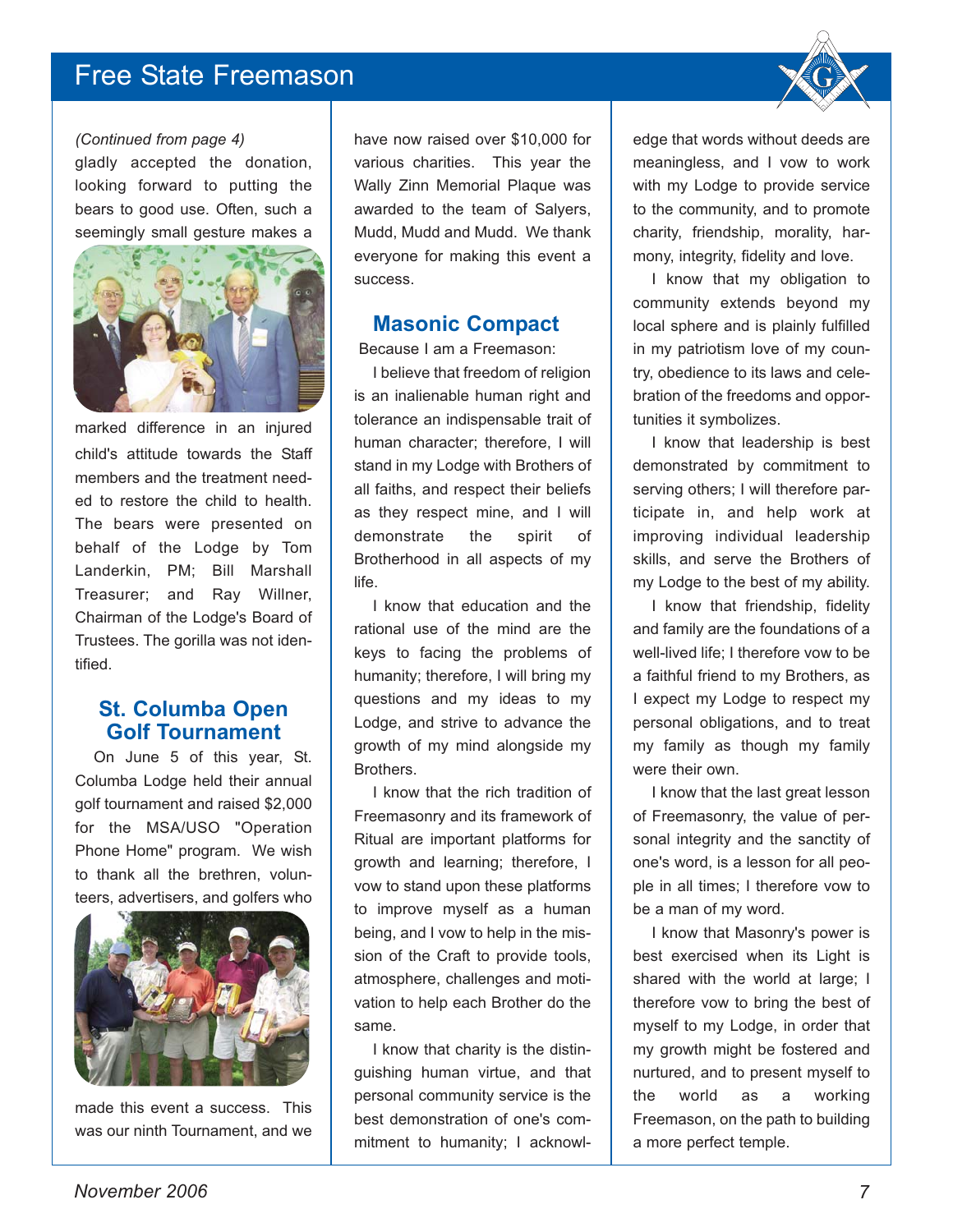

#### *(Continued from page 4)*

gladly accepted the donation, looking forward to putting the bears to good use. Often, such a seemingly small gesture makes a



marked difference in an injured child's attitude towards the Staff members and the treatment needed to restore the child to health. The bears were presented on behalf of the Lodge by Tom Landerkin, PM; Bill Marshall Treasurer; and Ray Willner, Chairman of the Lodge's Board of Trustees. The gorilla was not identified.

#### **St. Columba Open Golf Tournament**

On June 5 of this year, St. Columba Lodge held their annual golf tournament and raised \$2,000 for the MSA/USO "Operation Phone Home" program. We wish to thank all the brethren, volunteers, advertisers, and golfers who



made this event a success. This was our ninth Tournament, and we

have now raised over \$10,000 for various charities. This year the Wally Zinn Memorial Plaque was awarded to the team of Salyers, Mudd, Mudd and Mudd. We thank everyone for making this event a success.

### **Masonic Compact**

Because I am a Freemason:

I believe that freedom of religion is an inalienable human right and tolerance an indispensable trait of human character; therefore, I will stand in my Lodge with Brothers of all faiths, and respect their beliefs as they respect mine, and I will demonstrate the spirit of Brotherhood in all aspects of my life.

I know that education and the rational use of the mind are the keys to facing the problems of humanity; therefore, I will bring my questions and my ideas to my Lodge, and strive to advance the growth of my mind alongside my Brothers.

I know that the rich tradition of Freemasonry and its framework of Ritual are important platforms for growth and learning; therefore, I vow to stand upon these platforms to improve myself as a human being, and I vow to help in the mission of the Craft to provide tools, atmosphere, challenges and motivation to help each Brother do the same.

I know that charity is the distinguishing human virtue, and that personal community service is the best demonstration of one's commitment to humanity; I acknowledge that words without deeds are meaningless, and I vow to work with my Lodge to provide service to the community, and to promote charity, friendship, morality, harmony, integrity, fidelity and love.

I know that my obligation to community extends beyond my local sphere and is plainly fulfilled in my patriotism love of my country, obedience to its laws and celebration of the freedoms and opportunities it symbolizes.

I know that leadership is best demonstrated by commitment to serving others; I will therefore participate in, and help work at improving individual leadership skills, and serve the Brothers of my Lodge to the best of my ability.

I know that friendship, fidelity and family are the foundations of a well-lived life; I therefore vow to be a faithful friend to my Brothers, as I expect my Lodge to respect my personal obligations, and to treat my family as though my family were their own.

I know that the last great lesson of Freemasonry, the value of personal integrity and the sanctity of one's word, is a lesson for all people in all times; I therefore vow to be a man of my word.

I know that Masonry's power is best exercised when its Light is shared with the world at large; I therefore vow to bring the best of myself to my Lodge, in order that my growth might be fostered and nurtured, and to present myself to the world as a working Freemason, on the path to building a more perfect temple.